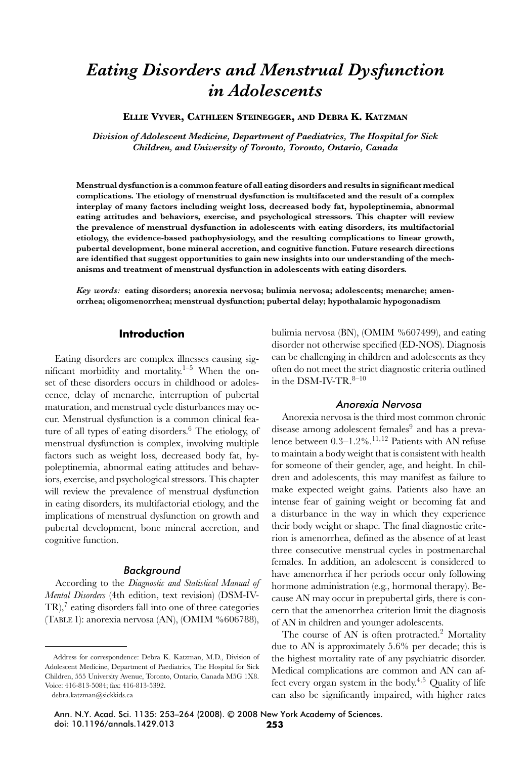# *Eating Disorders and Menstrual Dysfunction in Adolescents*

**ELLIE VYVER, CATHLEEN STEINEGGER, AND DEBRA K. KATZMAN**

*Division of Adolescent Medicine, Department of Paediatrics, The Hospital for Sick Children, and University of Toronto, Toronto, Ontario, Canada*

**Menstrual dysfunction is a common feature of all eating disorders and results in significantmedical complications. The etiology of menstrual dysfunction is multifaceted and the result of a complex interplay of many factors including weight loss, decreased body fat, hypoleptinemia, abnormal eating attitudes and behaviors, exercise, and psychological stressors. This chapter will review the prevalence of menstrual dysfunction in adolescents with eating disorders, its multifactorial etiology, the evidence-based pathophysiology, and the resulting complications to linear growth, pubertal development, bone mineral accretion, and cognitive function. Future research directions are identified that suggest opportunities to gain new insights into our understanding of the mechanisms and treatment of menstrual dysfunction in adolescents with eating disorders.**

*Key words:* **eating disorders; anorexia nervosa; bulimia nervosa; adolescents; menarche; amenorrhea; oligomenorrhea; menstrual dysfunction; pubertal delay; hypothalamic hypogonadism**

# **Introduction**

Eating disorders are complex illnesses causing significant morbidity and mortality.1–5 When the onset of these disorders occurs in childhood or adolescence, delay of menarche, interruption of pubertal maturation, and menstrual cycle disturbances may occur. Menstrual dysfunction is a common clinical feature of all types of eating disorders.<sup>6</sup> The etiology, of menstrual dysfunction is complex, involving multiple factors such as weight loss, decreased body fat, hypoleptinemia, abnormal eating attitudes and behaviors, exercise, and psychological stressors. This chapter will review the prevalence of menstrual dysfunction in eating disorders, its multifactorial etiology, and the implications of menstrual dysfunction on growth and pubertal development, bone mineral accretion, and cognitive function.

#### Background

According to the *Diagnostic and Statistical Manual of Mental Disorders* (4th edition, text revision) (DSM-IV- $TR$ ,  $\bar{7}$  eating disorders fall into one of three categories (TABLE 1): anorexia nervosa (AN), (OMIM %606788),

debra.katzman@sickkids.ca

bulimia nervosa (BN), (OMIM %607499), and eating disorder not otherwise specified (ED-NOS). Diagnosis can be challenging in children and adolescents as they often do not meet the strict diagnostic criteria outlined in the DSM-IV-TR. $8-10$ 

#### Anorexia Nervosa

Anorexia nervosa is the third most common chronic disease among adolescent females<sup>9</sup> and has a prevalence between 0.3–1.2%.<sup>11,12</sup> Patients with AN refuse to maintain a body weight that is consistent with health for someone of their gender, age, and height. In children and adolescents, this may manifest as failure to make expected weight gains. Patients also have an intense fear of gaining weight or becoming fat and a disturbance in the way in which they experience their body weight or shape. The final diagnostic criterion is amenorrhea, defined as the absence of at least three consecutive menstrual cycles in postmenarchal females. In addition, an adolescent is considered to have amenorrhea if her periods occur only following hormone administration (e.g., hormonal therapy). Because AN may occur in prepubertal girls, there is concern that the amenorrhea criterion limit the diagnosis of AN in children and younger adolescents.

The course of AN is often protracted.<sup>2</sup> Mortality due to AN is approximately 5.6% per decade; this is the highest mortality rate of any psychiatric disorder. Medical complications are common and AN can affect every organ system in the body.4*,*<sup>5</sup> Quality of life can also be significantly impaired, with higher rates

Ann. N.Y. Acad. Sci. 1135: 253–264 (2008). © 2008 New York Academy of Sciences. doi: 10.1196/annals.1429.013 **253**

Address for correspondence: Debra K. Katzman, M.D., Division of Adolescent Medicine, Department of Paediatrics, The Hospital for Sick Children, 555 University Avenue, Toronto, Ontario, Canada M5G 1X8. Voice: 416-813-5084; fax: 416-813-5392.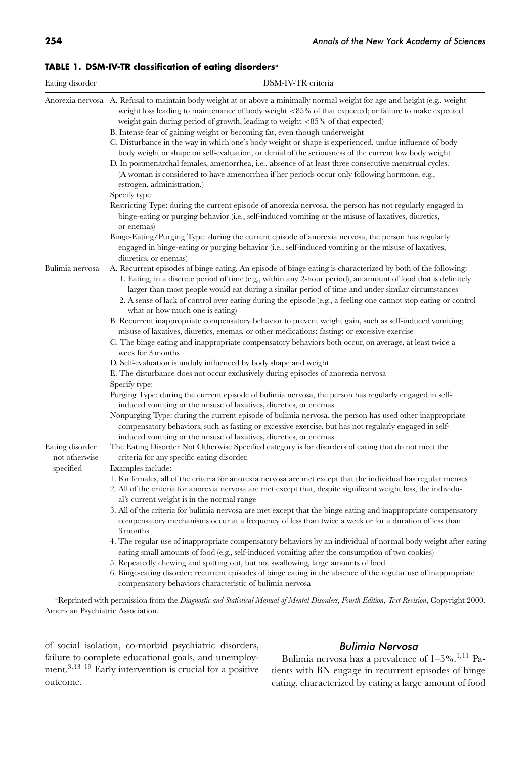| Eating disorder                               | DSM-IV-TR criteria                                                                                                                                                                                                                                                                                                                                                                                                                                                                                                                                                                                                                                                                                                                                                                                                                                                                                                                                                                                                                                                                               |
|-----------------------------------------------|--------------------------------------------------------------------------------------------------------------------------------------------------------------------------------------------------------------------------------------------------------------------------------------------------------------------------------------------------------------------------------------------------------------------------------------------------------------------------------------------------------------------------------------------------------------------------------------------------------------------------------------------------------------------------------------------------------------------------------------------------------------------------------------------------------------------------------------------------------------------------------------------------------------------------------------------------------------------------------------------------------------------------------------------------------------------------------------------------|
|                                               | Anorexia nervosa A. Refusal to maintain body weight at or above a minimally normal weight for age and height (e.g., weight<br>weight loss leading to maintenance of body weight <85% of that expected, or failure to make expected<br>weight gain during period of growth, leading to weight <85% of that expected)<br>B. Intense fear of gaining weight or becoming fat, even though underweight<br>C. Disturbance in the way in which one's body weight or shape is experienced, undue influence of body<br>body weight or shape on self-evaluation, or denial of the seriousness of the current low body weight<br>D. In postmenarchal females, amenorrhea, i.e., absence of at least three consecutive menstrual cycles.<br>(A woman is considered to have amenorrhea if her periods occur only following hormone, e.g.,<br>estrogen, administration.)<br>Specify type:<br>Restricting Type: during the current episode of anorexia nervosa, the person has not regularly engaged in<br>binge-eating or purging behavior (i.e., self-induced vomiting or the misuse of laxatives, diuretics, |
|                                               | or enemas)<br>Binge-Eating/Purging Type: during the current episode of anorexia nervosa, the person has regularly<br>engaged in binge-eating or purging behavior (i.e., self-induced vomiting or the misuse of laxatives,<br>diuretics, or enemas)                                                                                                                                                                                                                                                                                                                                                                                                                                                                                                                                                                                                                                                                                                                                                                                                                                               |
| Bulimia nervosa                               | A. Recurrent episodes of binge eating. An episode of binge eating is characterized by both of the following:<br>1. Eating, in a discrete period of time (e.g., within any 2-hour period), an amount of food that is definitely<br>larger than most people would eat during a similar period of time and under similar circumstances<br>2. A sense of lack of control over eating during the episode (e.g., a feeling one cannot stop eating or control<br>what or how much one is eating)                                                                                                                                                                                                                                                                                                                                                                                                                                                                                                                                                                                                        |
|                                               | B. Recurrent inappropriate compensatory behavior to prevent weight gain, such as self-induced vomiting;<br>misuse of laxatives, diuretics, enemas, or other medications; fasting; or excessive exercise                                                                                                                                                                                                                                                                                                                                                                                                                                                                                                                                                                                                                                                                                                                                                                                                                                                                                          |
|                                               | C. The binge eating and inappropriate compensatory behaviors both occur, on average, at least twice a<br>week for 3 months                                                                                                                                                                                                                                                                                                                                                                                                                                                                                                                                                                                                                                                                                                                                                                                                                                                                                                                                                                       |
|                                               | D. Self-evaluation is unduly influenced by body shape and weight<br>E. The disturbance does not occur exclusively during episodes of anorexia nervosa<br>Specify type:                                                                                                                                                                                                                                                                                                                                                                                                                                                                                                                                                                                                                                                                                                                                                                                                                                                                                                                           |
|                                               | Purging Type: during the current episode of bulimia nervosa, the person has regularly engaged in self-<br>induced vomiting or the misuse of laxatives, diuretics, or enemas                                                                                                                                                                                                                                                                                                                                                                                                                                                                                                                                                                                                                                                                                                                                                                                                                                                                                                                      |
|                                               | Nonpurging Type: during the current episode of bulimia nervosa, the person has used other inappropriate<br>compensatory behaviors, such as fasting or excessive exercise, but has not regularly engaged in self-<br>induced vomiting or the misuse of laxatives, diuretics, or enemas                                                                                                                                                                                                                                                                                                                                                                                                                                                                                                                                                                                                                                                                                                                                                                                                            |
| Eating disorder<br>not otherwise<br>specified | The Eating Disorder Not Otherwise Specified category is for disorders of eating that do not meet the<br>criteria for any specific eating disorder.                                                                                                                                                                                                                                                                                                                                                                                                                                                                                                                                                                                                                                                                                                                                                                                                                                                                                                                                               |
|                                               | Examples include:                                                                                                                                                                                                                                                                                                                                                                                                                                                                                                                                                                                                                                                                                                                                                                                                                                                                                                                                                                                                                                                                                |
|                                               | 1. For females, all of the criteria for anorexia nervosa are met except that the individual has regular menses<br>2. All of the criteria for anorexia nervosa are met except that, despite significant weight loss, the individu-<br>al's current weight is in the normal range                                                                                                                                                                                                                                                                                                                                                                                                                                                                                                                                                                                                                                                                                                                                                                                                                  |
|                                               | 3. All of the criteria for bulimia nervosa are met except that the binge eating and inappropriate compensatory<br>compensatory mechanisms occur at a frequency of less than twice a week or for a duration of less than<br>3 months                                                                                                                                                                                                                                                                                                                                                                                                                                                                                                                                                                                                                                                                                                                                                                                                                                                              |
|                                               | 4. The regular use of inappropriate compensatory behaviors by an individual of normal body weight after eating<br>eating small amounts of food (e.g., self-induced vomiting after the consumption of two cookies)<br>5. Repeatedly chewing and spitting out, but not swallowing, large amounts of food                                                                                                                                                                                                                                                                                                                                                                                                                                                                                                                                                                                                                                                                                                                                                                                           |
|                                               | 6. Binge-eating disorder: recurrent episodes of binge eating in the absence of the regular use of inappropriate<br>compensatory behaviors characteristic of bulimia nervosa                                                                                                                                                                                                                                                                                                                                                                                                                                                                                                                                                                                                                                                                                                                                                                                                                                                                                                                      |

### **TABLE 1. DSM-IV-TR classification of eating disorders***<sup>a</sup>*

*a* Reprinted with permission from the *Diagnostic and Statistical Manual of Mental Disorders, Fourth Edition, Text Revision*, Copyright 2000. American Psychiatric Association.

of social isolation, co-morbid psychiatric disorders, failure to complete educational goals, and unemployment.<sup>3</sup>*,*13–19 Early intervention is crucial for a positive outcome.

# Bulimia Nervosa

Bulimia nervosa has a prevalence of 1–5%.1*,*<sup>11</sup> Patients with BN engage in recurrent episodes of binge eating, characterized by eating a large amount of food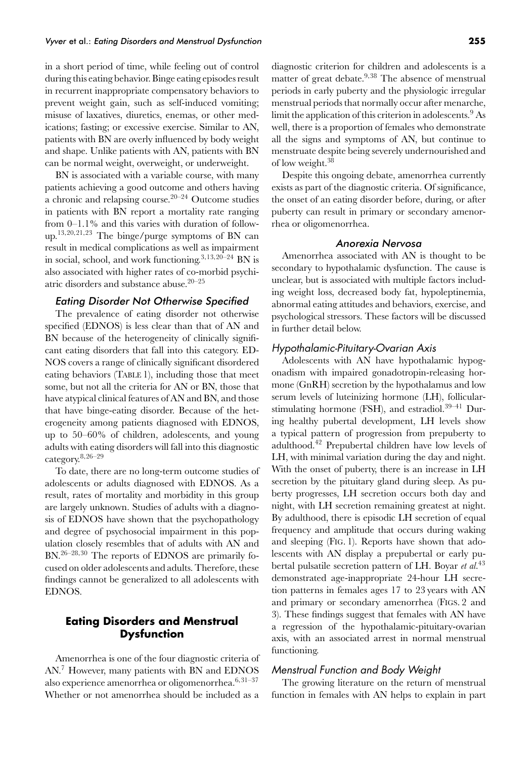in a short period of time, while feeling out of control during this eating behavior. Binge eating episodes result in recurrent inappropriate compensatory behaviors to prevent weight gain, such as self-induced vomiting; misuse of laxatives, diuretics, enemas, or other medications; fasting; or excessive exercise. Similar to AN, patients with BN are overly influenced by body weight and shape. Unlike patients with AN, patients with BN can be normal weight, overweight, or underweight.

BN is associated with a variable course, with many patients achieving a good outcome and others having a chronic and relapsing course.<sup>20–24</sup> Outcome studies in patients with BN report a mortality rate ranging from 0–1.1% and this varies with duration of followup.<sup>13</sup>*,*20*,*21*,*<sup>23</sup> The binge/purge symptoms of BN can result in medical complications as well as impairment in social, school, and work functioning.<sup>3</sup>*,*13*,*20–24 BN is also associated with higher rates of co-morbid psychiatric disorders and substance abuse. $20-25$ 

### Eating Disorder Not Otherwise Specified

The prevalence of eating disorder not otherwise specified (EDNOS) is less clear than that of AN and BN because of the heterogeneity of clinically significant eating disorders that fall into this category. ED-NOS covers a range of clinically significant disordered eating behaviors (TABLE 1), including those that meet some, but not all the criteria for AN or BN, those that have atypical clinical features of AN and BN, and those that have binge-eating disorder. Because of the heterogeneity among patients diagnosed with EDNOS, up to 50–60% of children, adolescents, and young adults with eating disorders will fall into this diagnostic category.8*,*26–29

To date, there are no long-term outcome studies of adolescents or adults diagnosed with EDNOS. As a result, rates of mortality and morbidity in this group are largely unknown. Studies of adults with a diagnosis of EDNOS have shown that the psychopathology and degree of psychosocial impairment in this population closely resembles that of adults with AN and BN.26–28*,*<sup>30</sup> The reports of EDNOS are primarily focused on older adolescents and adults. Therefore, these findings cannot be generalized to all adolescents with EDNOS.

# **Eating Disorders and Menstrual Dysfunction**

Amenorrhea is one of the four diagnostic criteria of AN.<sup>7</sup> However, many patients with BN and EDNOS also experience amenorrhea or oligomenorrhea.6*,*31–37 Whether or not amenorrhea should be included as a diagnostic criterion for children and adolescents is a matter of great debate.<sup>9</sup>*,*<sup>38</sup> The absence of menstrual periods in early puberty and the physiologic irregular menstrual periods that normally occur after menarche, limit the application of this criterion in adolescents.  $\frac{9}{9}$  As well, there is a proportion of females who demonstrate all the signs and symptoms of AN, but continue to menstruate despite being severely undernourished and of low weight.<sup>38</sup>

Despite this ongoing debate, amenorrhea currently exists as part of the diagnostic criteria. Of significance, the onset of an eating disorder before, during, or after puberty can result in primary or secondary amenorrhea or oligomenorrhea.

### Anorexia Nervosa

Amenorrhea associated with AN is thought to be secondary to hypothalamic dysfunction. The cause is unclear, but is associated with multiple factors including weight loss, decreased body fat, hypoleptinemia, abnormal eating attitudes and behaviors, exercise, and psychological stressors. These factors will be discussed in further detail below.

### *Hypothalamic-Pituitary-Ovarian Axis*

Adolescents with AN have hypothalamic hypogonadism with impaired gonadotropin-releasing hormone (GnRH) secretion by the hypothalamus and low serum levels of luteinizing hormone (LH), follicularstimulating hormone (FSH), and estradiol.<sup>39-41</sup> During healthy pubertal development, LH levels show a typical pattern of progression from prepuberty to adulthood.42 Prepubertal children have low levels of LH, with minimal variation during the day and night. With the onset of puberty, there is an increase in LH secretion by the pituitary gland during sleep. As puberty progresses, LH secretion occurs both day and night, with LH secretion remaining greatest at night. By adulthood, there is episodic LH secretion of equal frequency and amplitude that occurs during waking and sleeping (FIG. 1). Reports have shown that adolescents with AN display a prepubertal or early pubertal pulsatile secretion pattern of LH. Boyar *et al.*<sup>43</sup> demonstrated age-inappropriate 24-hour LH secretion patterns in females ages 17 to 23 years with AN and primary or secondary amenorrhea (FIGS. 2 and 3). These findings suggest that females with AN have a regression of the hypothalamic-pituitary-ovarian axis, with an associated arrest in normal menstrual functioning.

### *Menstrual Function and Body Weight*

The growing literature on the return of menstrual function in females with AN helps to explain in part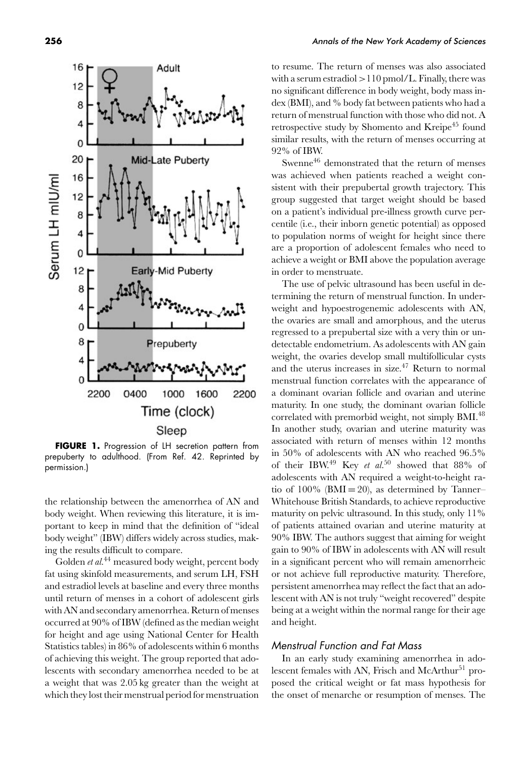

**FIGURE 1.** *Progression of LH secretion pattern from prepuberty to adulthood. (From Ref. 42. Reprinted by permission.)*

the relationship between the amenorrhea of AN and body weight. When reviewing this literature, it is important to keep in mind that the definition of "ideal body weight" (IBW) differs widely across studies, making the results difficult to compare.

Golden *et al.*<sup>44</sup> measured body weight, percent body fat using skinfold measurements, and serum LH, FSH and estradiol levels at baseline and every three months until return of menses in a cohort of adolescent girls with AN and secondary amenorrhea. Return of menses occurred at 90% of IBW (defined as the median weight for height and age using National Center for Health Statistics tables) in 86% of adolescents within 6 months of achieving this weight. The group reported that adolescents with secondary amenorrhea needed to be at a weight that was 2.05 kg greater than the weight at which they lost their menstrual period for menstruation

#### **256 Annals of the New York Academy of Sciences 256**

to resume. The return of menses was also associated with a serum estradiol *>*110 pmol/L. Finally, there was no significant difference in body weight, body mass index (BMI), and % body fat between patients who had a return of menstrual function with those who did not. A retrospective study by Shomento and Kreipe<sup>45</sup> found similar results, with the return of menses occurring at 92% of IBW.

Swenne<sup>46</sup> demonstrated that the return of menses was achieved when patients reached a weight consistent with their prepubertal growth trajectory. This group suggested that target weight should be based on a patient's individual pre-illness growth curve percentile (i.e., their inborn genetic potential) as opposed to population norms of weight for height since there are a proportion of adolescent females who need to achieve a weight or BMI above the population average in order to menstruate.

The use of pelvic ultrasound has been useful in determining the return of menstrual function. In underweight and hypoestrogenemic adolescents with AN, the ovaries are small and amorphous, and the uterus regressed to a prepubertal size with a very thin or undetectable endometrium. As adolescents with AN gain weight, the ovaries develop small multifollicular cysts and the uterus increases in size. $47$  Return to normal menstrual function correlates with the appearance of a dominant ovarian follicle and ovarian and uterine maturity. In one study, the dominant ovarian follicle correlated with premorbid weight, not simply BMI.<sup>48</sup> In another study, ovarian and uterine maturity was associated with return of menses within 12 months in 50% of adolescents with AN who reached 96.5% of their IBW.<sup>49</sup> Key *et al.*<sup>50</sup> showed that 88% of adolescents with AN required a weight-to-height ratio of  $100\%$  (BMI = 20), as determined by Tanner– Whitehouse British Standards, to achieve reproductive maturity on pelvic ultrasound. In this study, only 11% of patients attained ovarian and uterine maturity at 90% IBW. The authors suggest that aiming for weight gain to 90% of IBW in adolescents with AN will result in a significant percent who will remain amenorrheic or not achieve full reproductive maturity. Therefore, persistent amenorrhea may reflect the fact that an adolescent with AN is not truly "weight recovered" despite being at a weight within the normal range for their age and height.

### *Menstrual Function and Fat Mass*

In an early study examining amenorrhea in adolescent females with AN, Frisch and McArthur<sup>51</sup> proposed the critical weight or fat mass hypothesis for the onset of menarche or resumption of menses. The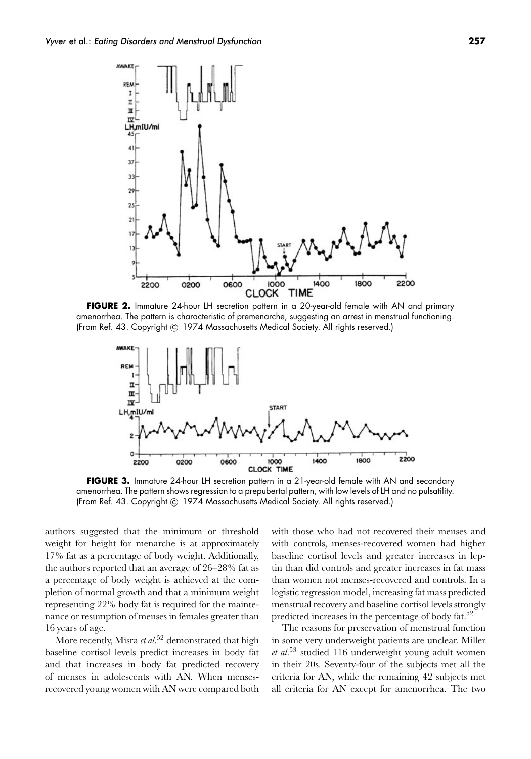

**FIGURE 2.** *Immature 24-hour LH secretion pattern in a 20-year-old female with AN and primary amenorrhea. The pattern is characteristic of premenarche, suggesting an arrest in menstrual functioning. (From Ref. 43. Copyright* -*c 1974 Massachusetts Medical Society. All rights reserved.)*



**FIGURE 3.** *Immature 24-hour LH secretion pattern in a 21-year-old female with AN and secondary amenorrhea. The pattern shows regression to a prepubertal pattern, with low levels of LH and no pulsatility. (From Ref. 43. Copyright* -*c 1974 Massachusetts Medical Society. All rights reserved.)*

authors suggested that the minimum or threshold weight for height for menarche is at approximately 17% fat as a percentage of body weight. Additionally, the authors reported that an average of 26–28% fat as a percentage of body weight is achieved at the completion of normal growth and that a minimum weight representing 22% body fat is required for the maintenance or resumption of menses in females greater than 16 years of age.

More recently, Misra *et al.*<sup>52</sup> demonstrated that high baseline cortisol levels predict increases in body fat and that increases in body fat predicted recovery of menses in adolescents with AN. When mensesrecovered young women with AN were compared both with those who had not recovered their menses and with controls, menses-recovered women had higher baseline cortisol levels and greater increases in leptin than did controls and greater increases in fat mass than women not menses-recovered and controls. In a logistic regression model, increasing fat mass predicted menstrual recovery and baseline cortisol levels strongly predicted increases in the percentage of body fat.<sup>52</sup>

The reasons for preservation of menstrual function in some very underweight patients are unclear. Miller *et al.*<sup>53</sup> studied 116 underweight young adult women in their 20s. Seventy-four of the subjects met all the criteria for AN, while the remaining 42 subjects met all criteria for AN except for amenorrhea. The two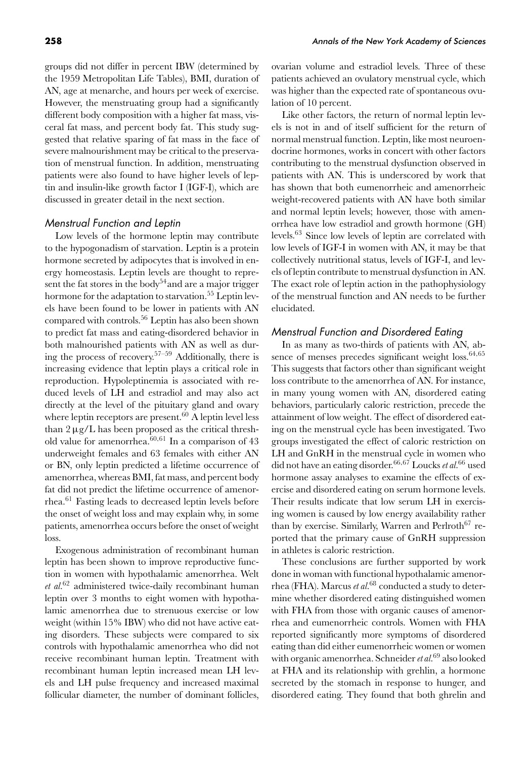groups did not differ in percent IBW (determined by the 1959 Metropolitan Life Tables), BMI, duration of AN, age at menarche, and hours per week of exercise. However, the menstruating group had a significantly different body composition with a higher fat mass, visceral fat mass, and percent body fat. This study suggested that relative sparing of fat mass in the face of severe malnourishment may be critical to the preservation of menstrual function. In addition, menstruating patients were also found to have higher levels of leptin and insulin-like growth factor I (IGF-I), which are discussed in greater detail in the next section.

### *Menstrual Function and Leptin*

Low levels of the hormone leptin may contribute to the hypogonadism of starvation. Leptin is a protein hormone secreted by adipocytes that is involved in energy homeostasis. Leptin levels are thought to represent the fat stores in the body<sup>54</sup> and are a major trigger hormone for the adaptation to starvation.<sup>55</sup> Leptin levels have been found to be lower in patients with AN compared with controls.<sup>56</sup> Leptin has also been shown to predict fat mass and eating-disordered behavior in both malnourished patients with AN as well as during the process of recovery.57–59 Additionally, there is increasing evidence that leptin plays a critical role in reproduction. Hypoleptinemia is associated with reduced levels of LH and estradiol and may also act directly at the level of the pituitary gland and ovary where leptin receptors are present. $60$  A leptin level less than  $2 \mu g/L$  has been proposed as the critical threshold value for amenorrhea.<sup>60</sup>*,*<sup>61</sup> In a comparison of 43 underweight females and 63 females with either AN or BN, only leptin predicted a lifetime occurrence of amenorrhea, whereas BMI, fat mass, and percent body fat did not predict the lifetime occurrence of amenorrhea.<sup>61</sup> Fasting leads to decreased leptin levels before the onset of weight loss and may explain why, in some patients, amenorrhea occurs before the onset of weight loss.

Exogenous administration of recombinant human leptin has been shown to improve reproductive function in women with hypothalamic amenorrhea. Welt *et al.*<sup>62</sup> administered twice-daily recombinant human leptin over 3 months to eight women with hypothalamic amenorrhea due to strenuous exercise or low weight (within 15% IBW) who did not have active eating disorders. These subjects were compared to six controls with hypothalamic amenorrhea who did not receive recombinant human leptin. Treatment with recombinant human leptin increased mean LH levels and LH pulse frequency and increased maximal follicular diameter, the number of dominant follicles, ovarian volume and estradiol levels. Three of these patients achieved an ovulatory menstrual cycle, which was higher than the expected rate of spontaneous ovulation of 10 percent.

Like other factors, the return of normal leptin levels is not in and of itself sufficient for the return of normal menstrual function. Leptin, like most neuroendocrine hormones, works in concert with other factors contributing to the menstrual dysfunction observed in patients with AN. This is underscored by work that has shown that both eumenorrheic and amenorrheic weight-recovered patients with AN have both similar and normal leptin levels; however, those with amenorrhea have low estradiol and growth hormone (GH) levels.<sup>63</sup> Since low levels of leptin are correlated with low levels of IGF-I in women with AN, it may be that collectively nutritional status, levels of IGF-I, and levels of leptin contribute to menstrual dysfunction in AN. The exact role of leptin action in the pathophysiology of the menstrual function and AN needs to be further elucidated.

# *Menstrual Function and Disordered Eating*

In as many as two-thirds of patients with AN, absence of menses precedes significant weight loss.64*,*<sup>65</sup> This suggests that factors other than significant weight loss contribute to the amenorrhea of AN. For instance, in many young women with AN, disordered eating behaviors, particularly caloric restriction, precede the attainment of low weight. The effect of disordered eating on the menstrual cycle has been investigated. Two groups investigated the effect of caloric restriction on LH and GnRH in the menstrual cycle in women who did not have an eating disorder.66*,*<sup>67</sup> Loucks *et al.*<sup>66</sup> used hormone assay analyses to examine the effects of exercise and disordered eating on serum hormone levels. Their results indicate that low serum LH in exercising women is caused by low energy availability rather than by exercise. Similarly, Warren and Perlroth<sup>67</sup> reported that the primary cause of GnRH suppression in athletes is caloric restriction.

These conclusions are further supported by work done in woman with functional hypothalamic amenorrhea (FHA). Marcus *et al.*<sup>68</sup> conducted a study to determine whether disordered eating distinguished women with FHA from those with organic causes of amenorrhea and eumenorrheic controls. Women with FHA reported significantly more symptoms of disordered eating than did either eumenorrheic women or women with organic amenorrhea. Schneider*et al.*<sup>69</sup> also looked at FHA and its relationship with grehlin, a hormone secreted by the stomach in response to hunger, and disordered eating. They found that both ghrelin and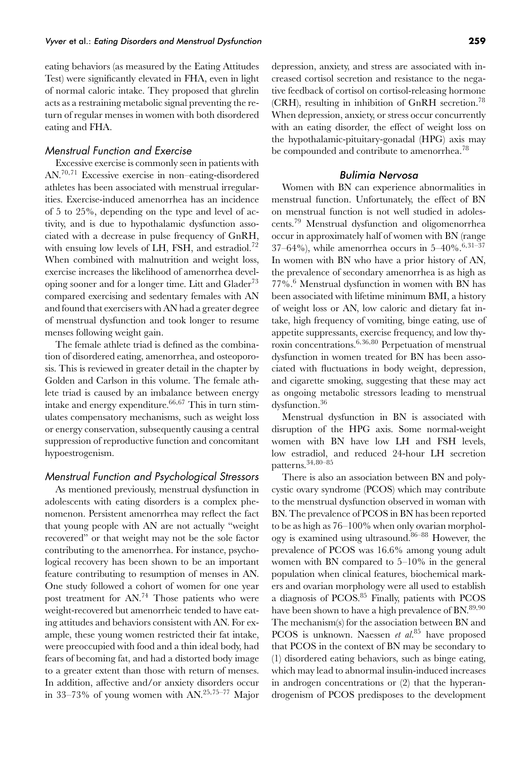eating behaviors (as measured by the Eating Attitudes Test) were significantly elevated in FHA, even in light of normal caloric intake. They proposed that ghrelin acts as a restraining metabolic signal preventing the return of regular menses in women with both disordered eating and FHA.

### *Menstrual Function and Exercise*

Excessive exercise is commonly seen in patients with AN.<sup>70</sup>*,*<sup>71</sup> Excessive exercise in non–eating-disordered athletes has been associated with menstrual irregularities. Exercise-induced amenorrhea has an incidence of 5 to 25%, depending on the type and level of activity, and is due to hypothalamic dysfunction associated with a decrease in pulse frequency of GnRH, with ensuing low levels of LH, FSH, and estradiol.<sup>72</sup> When combined with malnutrition and weight loss, exercise increases the likelihood of amenorrhea developing sooner and for a longer time. Litt and  $G$ lader<sup>73</sup> compared exercising and sedentary females with AN and found that exercisers with AN had a greater degree of menstrual dysfunction and took longer to resume menses following weight gain.

The female athlete triad is defined as the combination of disordered eating, amenorrhea, and osteoporosis. This is reviewed in greater detail in the chapter by Golden and Carlson in this volume. The female athlete triad is caused by an imbalance between energy intake and energy expenditure.66*,*<sup>67</sup> This in turn stimulates compensatory mechanisms, such as weight loss or energy conservation, subsequently causing a central suppression of reproductive function and concomitant hypoestrogenism.

### *Menstrual Function and Psychological Stressors*

As mentioned previously, menstrual dysfunction in adolescents with eating disorders is a complex phenomenon. Persistent amenorrhea may reflect the fact that young people with AN are not actually "weight recovered" or that weight may not be the sole factor contributing to the amenorrhea. For instance, psychological recovery has been shown to be an important feature contributing to resumption of menses in AN. One study followed a cohort of women for one year post treatment for AN.<sup>74</sup> Those patients who were weight-recovered but amenorrheic tended to have eating attitudes and behaviors consistent with AN. For example, these young women restricted their fat intake, were preoccupied with food and a thin ideal body, had fears of becoming fat, and had a distorted body image to a greater extent than those with return of menses. In addition, affective and/or anxiety disorders occur in 33–73% of young women with AN.25*,*75–77 Major depression, anxiety, and stress are associated with increased cortisol secretion and resistance to the negative feedback of cortisol on cortisol-releasing hormone (CRH), resulting in inhibition of GnRH secretion.<sup>78</sup> When depression, anxiety, or stress occur concurrently with an eating disorder, the effect of weight loss on the hypothalamic-pituitary-gonadal (HPG) axis may be compounded and contribute to amenorrhea.<sup>78</sup>

### Bulimia Nervosa

Women with BN can experience abnormalities in menstrual function. Unfortunately, the effect of BN on menstrual function is not well studied in adolescents.<sup>79</sup> Menstrual dysfunction and oligomenorrhea occur in approximately half of women with BN (range 37–64%), while amenorrhea occurs in 5–40%.<sup>6</sup>*,*31–37 In women with BN who have a prior history of AN, the prevalence of secondary amenorrhea is as high as 77%.<sup>6</sup> Menstrual dysfunction in women with BN has been associated with lifetime minimum BMI, a history of weight loss or AN, low caloric and dietary fat intake, high frequency of vomiting, binge eating, use of appetite suppressants, exercise frequency, and low thyroxin concentrations.<sup>6</sup>*,*36*,*<sup>80</sup> Perpetuation of menstrual dysfunction in women treated for BN has been associated with fluctuations in body weight, depression, and cigarette smoking, suggesting that these may act as ongoing metabolic stressors leading to menstrual dysfunction.<sup>36</sup>

Menstrual dysfunction in BN is associated with disruption of the HPG axis. Some normal-weight women with BN have low LH and FSH levels, low estradiol, and reduced 24-hour LH secretion patterns.<sup>34</sup>*,*80–85

There is also an association between BN and polycystic ovary syndrome (PCOS) which may contribute to the menstrual dysfunction observed in woman with BN. The prevalence of PCOS in BN has been reported to be as high as 76–100% when only ovarian morphology is examined using ultrasound.86–88 However, the prevalence of PCOS was 16.6% among young adult women with BN compared to 5–10% in the general population when clinical features, biochemical markers and ovarian morphology were all used to establish a diagnosis of PCOS.<sup>85</sup> Finally, patients with PCOS have been shown to have a high prevalence of BN.<sup>89</sup>*,*<sup>90</sup> The mechanism(s) for the association between BN and PCOS is unknown. Naessen *et al.*<sup>85</sup> have proposed that PCOS in the context of BN may be secondary to (1) disordered eating behaviors, such as binge eating, which may lead to abnormal insulin-induced increases in androgen concentrations or (2) that the hyperandrogenism of PCOS predisposes to the development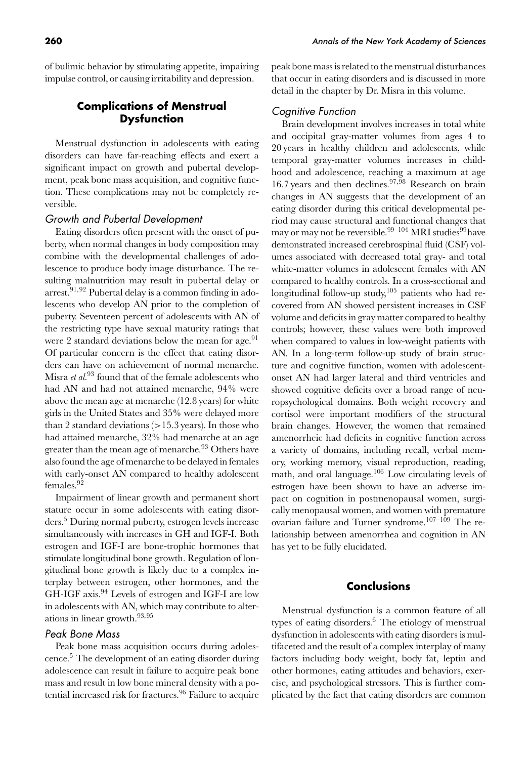of bulimic behavior by stimulating appetite, impairing impulse control, or causing irritability and depression.

# **Complications of Menstrual Dysfunction**

Menstrual dysfunction in adolescents with eating disorders can have far-reaching effects and exert a significant impact on growth and pubertal development, peak bone mass acquisition, and cognitive function. These complications may not be completely reversible.

### *Growth and Pubertal Development*

Eating disorders often present with the onset of puberty, when normal changes in body composition may combine with the developmental challenges of adolescence to produce body image disturbance. The resulting malnutrition may result in pubertal delay or arrest.<sup>91</sup>*,*<sup>92</sup> Pubertal delay is a common finding in adolescents who develop AN prior to the completion of puberty. Seventeen percent of adolescents with AN of the restricting type have sexual maturity ratings that were 2 standard deviations below the mean for age. $91$ Of particular concern is the effect that eating disorders can have on achievement of normal menarche. Misra *et al.*<sup>93</sup> found that of the female adolescents who had AN and had not attained menarche, 94% were above the mean age at menarche (12.8 years) for white girls in the United States and 35% were delayed more than 2 standard deviations (*>*15.3 years). In those who had attained menarche, 32% had menarche at an age greater than the mean age of menarche.<sup>93</sup> Others have also found the age of menarche to be delayed in females with early-onset AN compared to healthy adolescent females.92

Impairment of linear growth and permanent short stature occur in some adolescents with eating disorders.5 During normal puberty, estrogen levels increase simultaneously with increases in GH and IGF-I. Both estrogen and IGF-I are bone-trophic hormones that stimulate longitudinal bone growth. Regulation of longitudinal bone growth is likely due to a complex interplay between estrogen, other hormones, and the GH-IGF axis.94 Levels of estrogen and IGF-I are low in adolescents with AN, which may contribute to alterations in linear growth.<sup>93</sup>*,*<sup>95</sup>

### *Peak Bone Mass*

Peak bone mass acquisition occurs during adolescence.<sup>5</sup> The development of an eating disorder during adolescence can result in failure to acquire peak bone mass and result in low bone mineral density with a potential increased risk for fractures.<sup>96</sup> Failure to acquire peak bone mass is related to the menstrual disturbances that occur in eating disorders and is discussed in more detail in the chapter by Dr. Misra in this volume.

### *Cognitive Function*

Brain development involves increases in total white and occipital gray-matter volumes from ages 4 to 20 years in healthy children and adolescents, while temporal gray-matter volumes increases in childhood and adolescence, reaching a maximum at age 16.7 years and then declines.<sup>97</sup>*,*<sup>98</sup> Research on brain changes in AN suggests that the development of an eating disorder during this critical developmental period may cause structural and functional changes that may or may not be reversible.<sup>99–104</sup> MRI studies<sup>99</sup>have demonstrated increased cerebrospinal fluid (CSF) volumes associated with decreased total gray- and total white-matter volumes in adolescent females with AN compared to healthy controls. In a cross-sectional and longitudinal follow-up study,<sup>105</sup> patients who had recovered from AN showed persistent increases in CSF volume and deficits in gray matter compared to healthy controls; however, these values were both improved when compared to values in low-weight patients with AN. In a long-term follow-up study of brain structure and cognitive function, women with adolescentonset AN had larger lateral and third ventricles and showed cognitive deficits over a broad range of neuropsychological domains. Both weight recovery and cortisol were important modifiers of the structural brain changes. However, the women that remained amenorrheic had deficits in cognitive function across a variety of domains, including recall, verbal memory, working memory, visual reproduction, reading, math, and oral language.<sup>106</sup> Low circulating levels of estrogen have been shown to have an adverse impact on cognition in postmenopausal women, surgically menopausal women, and women with premature ovarian failure and Turner syndrome.<sup>107–109</sup> The relationship between amenorrhea and cognition in AN has yet to be fully elucidated.

# **Conclusions**

Menstrual dysfunction is a common feature of all types of eating disorders.<sup>6</sup> The etiology of menstrual dysfunction in adolescents with eating disorders is multifaceted and the result of a complex interplay of many factors including body weight, body fat, leptin and other hormones, eating attitudes and behaviors, exercise, and psychological stressors. This is further complicated by the fact that eating disorders are common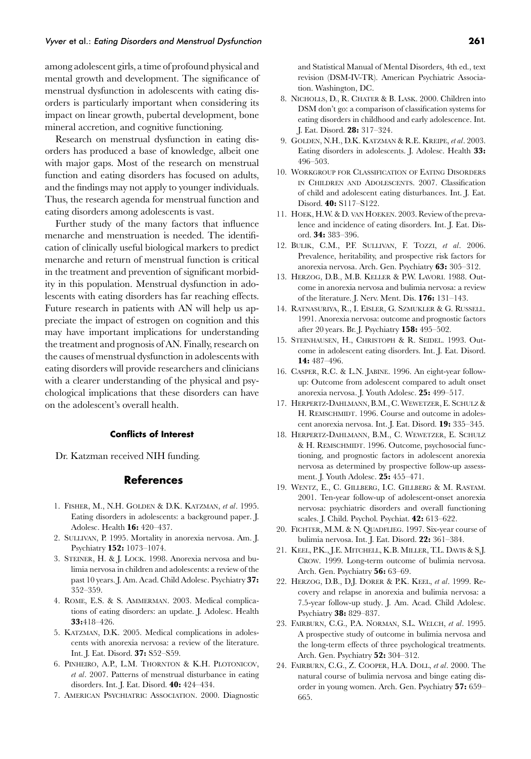among adolescent girls, a time of profound physical and mental growth and development. The significance of menstrual dysfunction in adolescents with eating disorders is particularly important when considering its impact on linear growth, pubertal development, bone mineral accretion, and cognitive functioning.

Research on menstrual dysfunction in eating disorders has produced a base of knowledge, albeit one with major gaps. Most of the research on menstrual function and eating disorders has focused on adults, and the findings may not apply to younger individuals. Thus, the research agenda for menstrual function and eating disorders among adolescents is vast.

Further study of the many factors that influence menarche and menstruation is needed. The identification of clinically useful biological markers to predict menarche and return of menstrual function is critical in the treatment and prevention of significant morbidity in this population. Menstrual dysfunction in adolescents with eating disorders has far reaching effects. Future research in patients with AN will help us appreciate the impact of estrogen on cognition and this may have important implications for understanding the treatment and prognosis of AN. Finally, research on the causes of menstrual dysfunction in adolescents with eating disorders will provide researchers and clinicians with a clearer understanding of the physical and psychological implications that these disorders can have on the adolescent's overall health.

#### **Conflicts of Interest**

Dr. Katzman received NIH funding.

### **References**

- 1. FISHER, M., N.H. GOLDEN & D.K. KATZMAN, *et al*. 1995. Eating disorders in adolescents: a background paper. J. Adolesc. Health **16:** 420–437.
- 2. SULLIVAN, P. 1995. Mortality in anorexia nervosa. Am. J. Psychiatry **152:** 1073–1074.
- 3. STEINER, H. & J. LOCK. 1998. Anorexia nervosa and bulimia nervosa in children and adolescents: a review of the past 10 years. J. Am. Acad. Child Adolesc. Psychiatry **37:** 352–359.
- 4. ROME, E.S. & S. AMMERMAN. 2003. Medical complications of eating disorders: an update. J. Adolesc. Health **33:**418–426.
- 5. KATZMAN, D.K. 2005. Medical complications in adolescents with anorexia nervosa: a review of the literature. Int. J. Eat. Disord. **37:** S52–S59.
- 6. PINHEIRO, A.P., L.M. THORNTON & K.H. PLOTONICOV, *et al*. 2007. Patterns of menstrual disturbance in eating disorders. Int. J. Eat. Disord. **40:** 424–434.
- 7. AMERICAN PSYCHIATRIC ASSOCIATION. 2000. Diagnostic

and Statistical Manual of Mental Disorders, 4th ed., text revision (DSM-IV-TR). American Psychiatric Association. Washington, DC.

- 8. NICHOLLS, D., R. CHATER & B. LASK. 2000. Children into DSM don't go: a comparison of classification systems for eating disorders in childhood and early adolescence. Int. J. Eat. Disord. **28:** 317–324.
- 9. GOLDEN, N.H., D.K. KATZMAN & R.E. KREIPE, *et al*. 2003. Eating disorders in adolescents. J. Adolesc. Health **33:** 496–503.
- 10. WORKGROUP FOR CLASSIFICATION OF EATING DISORDERS IN CHILDREN AND ADOLESCENTS. 2007. Classification of child and adolescent eating disturbances. Int. J. Eat. Disord. **40:** S117–S122.
- 11. HOEK, H.W. & D. VAN HOEKEN. 2003. Review of the prevalence and incidence of eating disorders. Int. J. Eat. Disord. **34:** 383–396.
- 12. BULIK, C.M., P.F. SULLIVAN, F. TOZZI, *et al*. 2006. Prevalence, heritability, and prospective risk factors for anorexia nervosa. Arch. Gen. Psychiatry **63:** 305–312.
- 13. HERZOG, D.B., M.B. KELLER & P.W. LAVORI. 1988. Outcome in anorexia nervosa and bulimia nervosa: a review of the literature. J. Nerv. Ment. Dis. **176:** 131–143.
- 14. RATNASURIYA, R., I. EISLER, G. SZMUKLER & G. RUSSELL. 1991. Anorexia nervosa: outcome and prognostic factors after 20 years. Br. J. Psychiatry **158:** 495–502.
- 15. STEINHAUSEN, H., CHRISTOPH & R. SEIDEL. 1993. Outcome in adolescent eating disorders. Int. J. Eat. Disord. **14:** 487–496.
- 16. CASPER, R.C. & L.N. JABINE. 1996. An eight-year followup: Outcome from adolescent compared to adult onset anorexia nervosa. J. Youth Adolesc. **25:** 499–517.
- 17. HERPERTZ-DAHLMANN, B.M., C. WEWETZER, E. SCHULZ& H. REMSCHMIDT. 1996. Course and outcome in adolescent anorexia nervosa. Int. J. Eat. Disord. **19:** 335–345.
- 18. HERPERTZ-DAHLMANN, B.M., C. WEWETZER, E. SCHULZ & H. REMSCHMIDT. 1996. Outcome, psychosocial functioning, and prognostic factors in adolescent anorexia nervosa as determined by prospective follow-up assessment. J. Youth Adolesc. **25:** 455–471.
- 19. WENTZ, E., C. GILLBERG, I.C. GILLBERG & M. RASTAM. 2001. Ten-year follow-up of adolescent-onset anorexia nervosa: psychiatric disorders and overall functioning scales. J. Child. Psychol. Psychiat. **42:** 613–622.
- 20. FICHTER, M.M. & N. QUADFLIEG. 1997. Six-year course of bulimia nervosa. Int. J. Eat. Disord. **22:** 361–384.
- 21. KEEL, P.K., J.E. MITCHELL, K.B. MILLER, T.L. DAVIS & S.J. CROW. 1999. Long-term outcome of bulimia nervosa. Arch. Gen. Psychiatry **56:** 63–69.
- 22. HERZOG, D.B., D.J. DORER & P.K. KEEL, *et al*. 1999. Recovery and relapse in anorexia and bulimia nervosa: a 7.5-year follow-up study. J. Am. Acad. Child Adolesc. Psychiatry **38:** 829–837.
- 23. FAIRBURN, C.G., P.A. NORMAN, S.L. WELCH, *et al*. 1995. A prospective study of outcome in bulimia nervosa and the long-term effects of three psychological treatments. Arch. Gen. Psychiatry **52:** 304–312.
- 24. FAIRBURN, C.G., Z. COOPER, H.A. DOLL, *et al*. 2000. The natural course of bulimia nervosa and binge eating disorder in young women. Arch. Gen. Psychiatry **57:** 659– 665.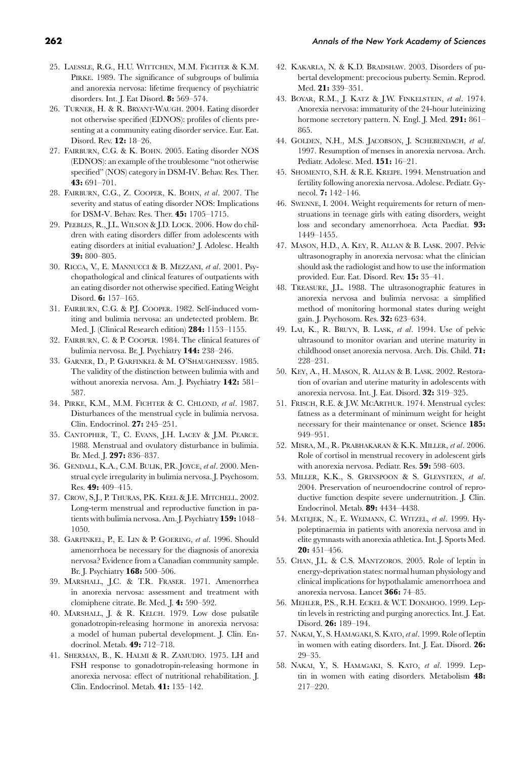#### **262 Annals of the New York Academy of Sciences 262**

- 25. LAESSLE, R.G., H.U. WITTCHEN, M.M. FICHTER & K.M. PIRKE. 1989. The significance of subgroups of bulimia and anorexia nervosa: lifetime frequency of psychiatric disorders. Int. J. Eat Disord. **8:** 569–574.
- 26. TURNER, H. & R. BRYANT-WAUGH. 2004. Eating disorder not otherwise specified (EDNOS): profiles of clients presenting at a community eating disorder service. Eur. Eat. Disord. Rev. **12:** 18–26.
- 27. FAIRBURN, C.G. & K. BOHN. 2005. Eating disorder NOS (EDNOS): an example of the troublesome "not otherwise specified" (NOS) category in DSM-IV. Behav. Res. Ther. **43:** 691–701.
- 28. FAIRBURN, C.G., Z. COOPER, K. BOHN, *et al*. 2007. The severity and status of eating disorder NOS: Implications for DSM-V. Behav. Res. Ther. **45:** 1705–1715.
- 29. PEEBLES, R., J.L. WILSON & J.D. LOCK. 2006. How do children with eating disorders differ from adolescents with eating disorders at initial evaluation? J. Adolesc. Health **39:** 800–805.
- 30. RICCA, V., E. MANNUCCI & B. MEZZANI, *et al*. 2001. Psychopathological and clinical features of outpatients with an eating disorder not otherwise specified. Eating Weight Disord. **6:** 157–165.
- 31. FAIRBURN, C.G. & P.J. COOPER. 1982. Self-induced vomiting and bulimia nervosa: an undetected problem. Br. Med. J. (Clinical Research edition) **284:** 1153–1155.
- 32. FAIRBURN, C. & P. COOPER. 1984. The clinical features of bulimia nervosa. Br. J. Psychiatry **144:** 238–246.
- 33. GARNER, D., P. GARFINKEL & M. O'SHAUGHNESSY. 1985. The validity of the distinction between bulimia with and without anorexia nervosa. Am. J. Psychiatry **142:** 581– 587.
- 34. PIRKE, K.M., M.M. FICHTER & C. CHLOND, *et al*. 1987. Disturbances of the menstrual cycle in bulimia nervosa. Clin. Endocrinol. **27:** 245–251.
- 35. CANTOPHER, T., C. EVANS, J.H. LACEY & J.M. PEARCE. 1988. Menstrual and ovulatory disturbance in bulimia. Br. Med. J. **297:** 836–837.
- 36. GENDALL, K.A., C.M. BULIK, P.R. JOYCE, *et al*. 2000. Menstrual cycle irregularity in bulimia nervosa. J. Psychosom. Res. **49:** 409–415.
- 37. CROW, S.J., P. THURAS, P.K. KEEL & J.E. MITCHELL. 2002. Long-term menstrual and reproductive function in patients with bulimia nervosa. Am. J. Psychiatry **159:** 1048– 1050.
- 38. GARFINKEL, P., E. LIN & P. GOERING, *et al*. 1996. Should amenorrhoea be necessary for the diagnosis of anorexia nervosa? Evidence from a Canadian community sample. Br. J. Psychiatry **168:** 500–506.
- 39. MARSHALL, J.C. & T.R. FRASER. 1971. Amenorrhea in anorexia nervosa: assessment and treatment with clomiphene citrate. Br. Med. J. **4:** 590–592.
- 40. MARSHALL, J. & R. KELCH. 1979. Low dose pulsatile gonadotropin-releasing hormone in anorexia nervosa: a model of human pubertal development. J. Clin. Endocrinol. Metab. **49:** 712–718.
- 41. SHERMAN, B., K. HALMI & R. ZAMUDIO. 1975. LH and FSH response to gonadotropin-releasing hormone in anorexia nervosa: effect of nutritional rehabilitation. J. Clin. Endocrinol. Metab. **41:** 135–142.
- 42. KAKARLA, N. & K.D. BRADSHAW. 2003. Disorders of pubertal development: precocious puberty. Semin. Reprod. Med. **21:** 339–351.
- 43. BOYAR, R.M., J. KATZ & J.W. FINKELSTEIN, *et al*. 1974. Anorexia nervosa: immaturity of the 24-hour luteinizing hormone secretory pattern. N. Engl. J. Med. **291:** 861– 865.
- 44. GOLDEN, N.H., M.S. JACOBSON, J. SCHEBENDACH, *et al*. 1997. Resumption of menses in anorexia nervosa. Arch. Pediatr. Adolesc. Med. **151:** 16–21.
- 45. SHOMENTO, S.H. & R.E. KREIPE. 1994. Menstruation and fertility following anorexia nervosa. Adolesc. Pediatr. Gynecol. **7:** 142–146.
- 46. SWENNE, I. 2004. Weight requirements for return of menstruations in teenage girls with eating disorders, weight loss and secondary amenorrhoea. Acta Paediat. **93:** 1449–1455.
- 47. MASON, H.D., A. KEY, R. ALLAN & B. LASK. 2007. Pelvic ultrasonography in anorexia nervosa: what the clinician should ask the radiologist and how to use the information provided. Eur. Eat. Disord. Rev. **15:** 35–41.
- 48. TREASURE, J.L. 1988. The ultrasonographic features in anorexia nervosa and bulimia nervosa: a simplified method of monitoring hormonal states during weight gain. J. Psychosom. Res. **32:** 623–634.
- 49. LAI, K., R. BRUYN, B. LASK, *et al*. 1994. Use of pelvic ultrasound to monitor ovarian and uterine maturity in childhood onset anorexia nervosa. Arch. Dis. Child. **71:** 228–231.
- 50. KEY, A., H. MASON, R. ALLAN & B. LASK. 2002. Restoration of ovarian and uterine maturity in adolescents with anorexia nervosa. Int. J. Eat. Disord. **32:** 319–325.
- 51. FRISCH, R.E. & J.W. MCARTHUR. 1974. Menstrual cycles: fatness as a determinant of minimum weight for height necessary for their maintenance or onset. Science **185:** 949–951.
- 52. MISRA, M., R. PRABHAKARAN & K.K. MILLER, *et al*. 2006. Role of cortisol in menstrual recovery in adolescent girls with anorexia nervosa. Pediatr. Res. **59:** 598–603.
- 53. MILLER, K.K., S. GRINSPOON & S. GLEYSTEEN, *et al*. 2004. Preservation of neuroendocrine control of reproductive function despite severe undernutrition. J. Clin. Endocrinol. Metab. **89:** 4434–4438.
- 54. MATEJEK, N., E. WEIMANN, C. WITZEL, *et al*. 1999. Hypoleptinaemia in patients with anorexia nervosa and in elite gymnasts with anorexia athletica. Int. J. Sports Med. **20:** 451–456.
- 55. CHAN, J.L. & C.S. MANTZOROS. 2005. Role of leptin in energy-deprivation states: normal human physiology and clinical implications for hypothalamic amenorrhoea and anorexia nervosa. Lancet **366:** 74–85.
- 56. MEHLER, P.S., R.H. ECKEL & W.T. DONAHOO. 1999. Leptin levels in restricting and purging anorectics. Int. J. Eat. Disord. **26:** 189–194.
- 57. NAKAI, Y., S. HAMAGAKI, S. KATO, *et al*. 1999. Role of leptin in women with eating disorders. Int. J. Eat. Disord. **26:** 29–35.
- 58. NAKAI, Y., S. HAMAGAKI, S. KATO, *et al*. 1999. Leptin in women with eating disorders. Metabolism **48:** 217–220.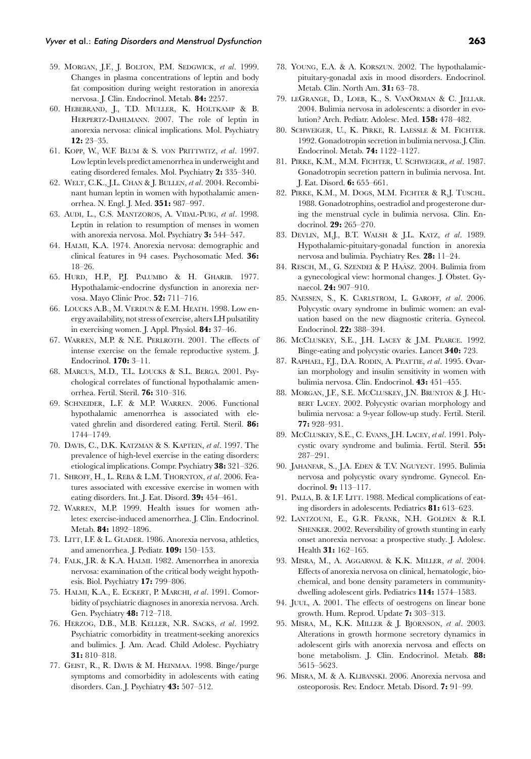- 59. MORGAN, J.F., J. BOLTON, P.M. SEDGWICK, *et al*. 1999. Changes in plasma concentrations of leptin and body fat composition during weight restoration in anorexia nervosa. J. Clin. Endocrinol. Metab. **84:** 2257.
- 60. HEBEBRAND, J., T.D. MULLER, K. HOLTKAMP & B. HERPERTZ-DAHLMANN. 2007. The role of leptin in anorexia nervosa: clinical implications. Mol. Psychiatry **12:** 23–35.
- 61. KOPP, W., W.F. BLUM & S. VON PRITTWITZ, *et al*. 1997. Low leptin levels predict amenorrhea in underweight and eating disordered females. Mol. Psychiatry **2:** 335–340.
- 62. WELT, C.K., J.L. CHAN & J. BULLEN, *et al*. 2004. Recombinant human leptin in women with hypothalamic amenorrhea. N. Engl. J. Med. **351:** 987–997.
- 63. AUDI, L., C.S. MANTZOROS, A. VIDAL-PUIG, *et al*. 1998. Leptin in relation to resumption of menses in women with anorexia nervosa. Mol. Psychiatry **3:** 544–547.
- 64. HALMI, K.A. 1974. Anorexia nervosa: demographic and clinical features in 94 cases. Psychosomatic Med. **36:** 18–26.
- 65. HURD, H.P., P.J. PALUMBO & H. GHARIB. 1977. Hypothalamic-endocrine dysfunction in anorexia nervosa. Mayo Clinic Proc. **52:** 711–716.
- 66. LOUCKS A.B., M. VERDUN & E.M. HEATH. 1998. Low energy availability, not stress of exercise, alters LH pulsatility in exercising women. J. Appl. Physiol. **84:** 37–46.
- 67. WARREN, M.P. & N.E. PERLROTH. 2001. The effects of intense exercise on the female reproductive system. J. Endocrinol. **170:** 3–11.
- 68. MARCUS, M.D., T.L. LOUCKS & S.L. BERGA. 2001. Psychological correlates of functional hypothalamic amenorrhea. Fertil. Steril. **76:** 310–316.
- 69. SCHNEIDER, L.F. & M.P. WARREN. 2006. Functional hypothalamic amenorrhea is associated with elevated ghrelin and disordered eating. Fertil. Steril. **86:** 1744–1749.
- 70. DAVIS, C., D.K. KATZMAN & S. KAPTEIN, *et al*. 1997. The prevalence of high-level exercise in the eating disorders: etiological implications. Compr. Psychiatry **38:** 321–326.
- 71. SHROFF, H., L. REBA & L.M. THORNTON, *et al*. 2006. Features associated with excessive exercise in women with eating disorders. Int. J. Eat. Disord. **39:** 454–461.
- 72. WARREN, M.P. 1999. Health issues for women athletes: exercise-induced amenorrhea. J. Clin. Endocrinol. Metab. **84:** 1892–1896.
- 73. LITT, I.F. & L. GLADER. 1986. Anorexia nervosa, athletics, and amenorrhea. J. Pediatr. **109:** 150–153.
- 74. FALK, J.R. & K.A. HALMI. 1982. Amenorrhea in anorexia nervosa: examination of the critical body weight hypothesis. Biol. Psychiatry **17:** 799–806.
- 75. HALMI, K.A., E. ECKERT, P. MARCHI, *et al*. 1991. Comorbidity of psychiatric diagnoses in anorexia nervosa. Arch. Gen. Psychiatry **48:** 712–718.
- 76. HERZOG, D.B., M.B. KELLER, N.R. SACKS, *et al*. 1992. Psychiatric comorbidity in treatment-seeking anorexics and bulimics. J. Am. Acad. Child Adolesc. Psychiatry **31:** 810–818.
- 77. GEIST, R., R. DAVIS & M. HEINMAA. 1998. Binge/purge symptoms and comorbidity in adolescents with eating disorders. Can. J. Psychiatry **43:** 507–512.
- 78. YOUNG, E.A. & A. KORSZUN. 2002. The hypothalamicpituitary-gonadal axis in mood disorders. Endocrinol. Metab. Clin. North Am. **31:** 63–78.
- 79. LEGRANGE, D., LOEB, K., S. VANORMAN & C. JELLAR. 2004. Bulimia nervosa in adolescents: a disorder in evolution? Arch. Pediatr. Adolesc. Med. **158:** 478–482.
- 80. SCHWEIGER, U., K. PIRKE, R. LAESSLE & M. FICHTER. 1992. Gonadotropin secretion in bulimia nervosa. J. Clin. Endocrinol. Metab. **74:** 1122–1127.
- 81. PIRKE, K.M., M.M. FICHTER, U. SCHWEIGER, *et al*. 1987. Gonadotropin secretion pattern in bulimia nervosa. Int. J. Eat. Disord. **6:** 655–661.
- 82. PIRKE, K.M., M. DOGS, M.M. FICHTER & R.J. TUSCHL. 1988. Gonadotrophins, oestradiol and progesterone during the menstrual cycle in bulimia nervosa. Clin. Endocrinol. **29:** 265–270.
- 83. DEVLIN, M.J., B.T. WALSH & J.L. KATZ, *et al*. 1989. Hypothalamic-pituitary-gonadal function in anorexia nervosa and bulimia. Psychiatry Res. **28:** 11–24.
- 84. RESCH, M., G. SZENDEI & P. HAÁSZ. 2004. Bulimia from a gynecological view: hormonal changes. J. Obstet. Gynaecol. **24:** 907–910.
- 85. NAESSEN, S., K. CARLSTROM, L. GAROFF, *et al*. 2006. Polycystic ovary syndrome in bulimic women: an evaluation based on the new diagnostic criteria. Gynecol. Endocrinol. **22:** 388–394.
- 86. MCCLUSKEY, S.E., J.H. LACEY & J.M. PEARCE. 1992. Binge-eating and polycystic ovaries. Lancet **340:** 723.
- 87. RAPHAEL, F.J., D.A. RODIN, A. PEATTIE, *et al*. 1995. Ovarian morphology and insulin sensitivity in women with bulimia nervosa. Clin. Endocrinol. **43:** 451–455.
- 88. MORGAN, J.F., S.E. MCCLUSKEY, J.N. BRUNTON & J. HU-BERT LACEY. 2002. Polycystic ovarian morphology and bulimia nervosa: a 9-year follow-up study. Fertil. Steril. **77:** 928–931.
- 89. MCCLUSKEY, S.E., C. EVANS, J.H. LACEY, *et al*. 1991. Polycystic ovary syndrome and bulimia. Fertil. Steril. **55:** 287–291.
- 90. JAHANFAR, S., J.A. EDEN & T.V. NGUYENT. 1995. Bulimia nervosa and polycystic ovary syndrome. Gynecol. Endocrinol. **9:** 113–117.
- 91. PALLA, B. & I.F. LITT. 1988. Medical complications of eating disorders in adolescents. Pediatrics **81:** 613–623.
- 92. LANTZOUNI, E., G.R. FRANK, N.H. GOLDEN & R.I. SHENKER. 2002. Reversibility of growth stunting in early onset anorexia nervosa: a prospective study. J. Adolesc. Health **31:** 162–165.
- 93. MISRA, M., A. AGGARWAL & K.K. MILLER, *et al*. 2004. Effects of anorexia nervosa on clinical, hematologic, biochemical, and bone density parameters in communitydwelling adolescent girls. Pediatrics **114:** 1574–1583.
- 94. JUUL, A. 2001. The effects of oestrogens on linear bone growth. Hum. Reprod. Update **7:** 303–313.
- 95. MISRA, M., K.K. MILLER & J. BJORNSON, *et al*. 2003. Alterations in growth hormone secretory dynamics in adolescent girls with anorexia nervosa and effects on bone metabolism. J. Clin. Endocrinol. Metab. **88:** 5615–5623.
- 96. MISRA, M. & A. KLIBANSKI. 2006. Anorexia nervosa and osteoporosis. Rev. Endocr. Metab. Disord. **7:** 91–99.